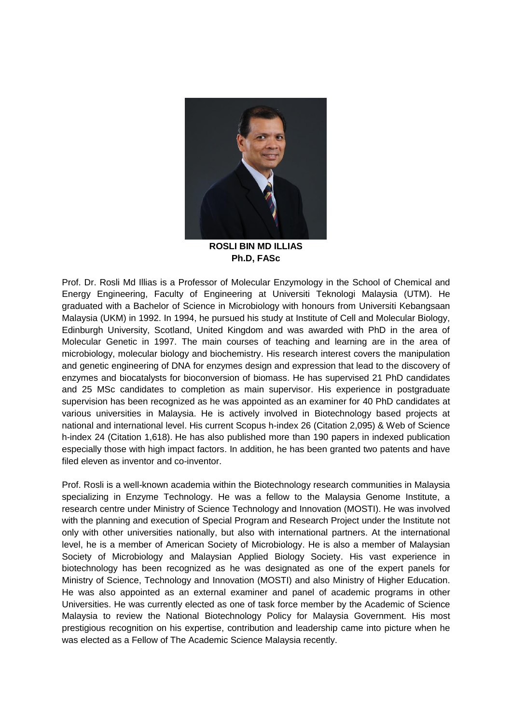

**ROSLI BIN MD ILLIAS Ph.D, FASc**

Prof. Dr. Rosli Md Illias is a Professor of Molecular Enzymology in the School of Chemical and Energy Engineering, Faculty of Engineering at Universiti Teknologi Malaysia (UTM). He graduated with a Bachelor of Science in Microbiology with honours from Universiti Kebangsaan Malaysia (UKM) in 1992. In 1994, he pursued his study at Institute of Cell and Molecular Biology, Edinburgh University, Scotland, United Kingdom and was awarded with PhD in the area of Molecular Genetic in 1997. The main courses of teaching and learning are in the area of microbiology, molecular biology and biochemistry. His research interest covers the manipulation and genetic engineering of DNA for enzymes design and expression that lead to the discovery of enzymes and biocatalysts for bioconversion of biomass. He has supervised 21 PhD candidates and 25 MSc candidates to completion as main supervisor. His experience in postgraduate supervision has been recognized as he was appointed as an examiner for 40 PhD candidates at various universities in Malaysia. He is actively involved in Biotechnology based projects at national and international level. His current Scopus h-index 26 (Citation 2,095) & Web of Science h-index 24 (Citation 1,618). He has also published more than 190 papers in indexed publication especially those with high impact factors. In addition, he has been granted two patents and have filed eleven as inventor and co-inventor

Prof. Rosli is a well-known academia within the Biotechnology research communities in Malaysia specializing in Enzyme Technology. He was a fellow to the Malaysia Genome Institute, a research centre under Ministry of Science Technology and Innovation (MOSTI). He was involved with the planning and execution of Special Program and Research Project under the Institute not only with other universities nationally, but also with international partners. At the international level, he is a member of American Society of Microbiology. He is also a member of Malaysian Society of Microbiology and Malaysian Applied Biology Society. His vast experience in biotechnology has been recognized as he was designated as one of the expert panels for Ministry of Science, Technology and Innovation (MOSTI) and also Ministry of Higher Education. He was also appointed as an external examiner and panel of academic programs in other Universities. He was currently elected as one of task force member by the Academic of Science Malaysia to review the National Biotechnology Policy for Malaysia Government. His most prestigious recognition on his expertise, contribution and leadership came into picture when he was elected as a Fellow of The Academic Science Malaysia recently.